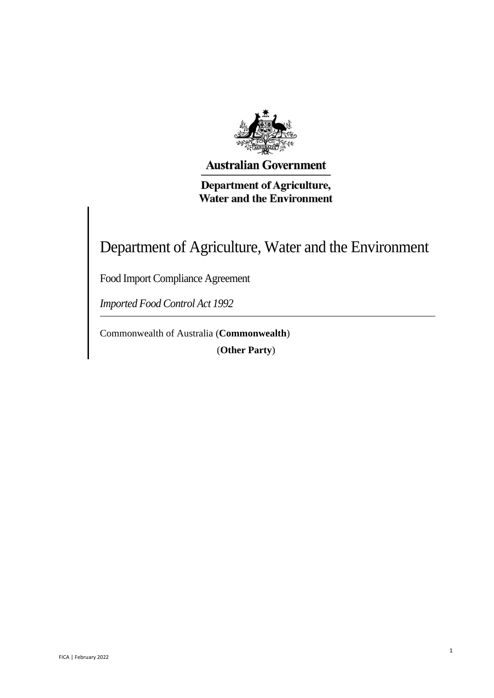

**Australian Government** 

**Department of Agriculture, Water and the Environment** 

Department of Agriculture, Water and the Environment

1

Food Import Compliance Agreement

*Imported Food Control Act 1992* 

Commonwealth of Australia (**Commonwealth**) (**Other Party**)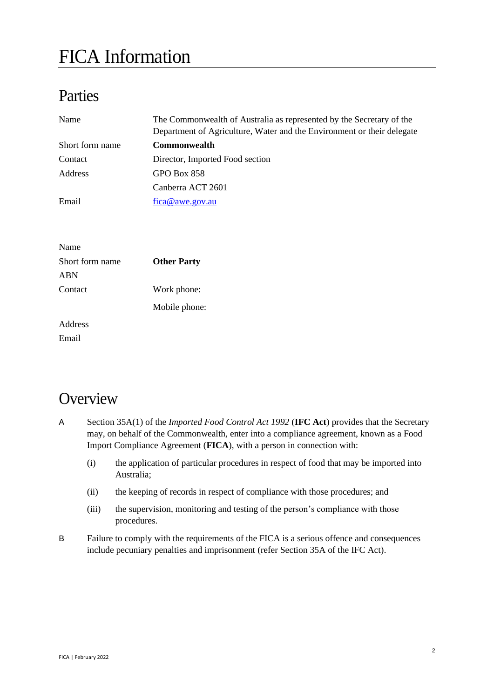# FICA Information

## Parties

| Name            | The Commonwealth of Australia as represented by the Secretary of the<br>Department of Agriculture, Water and the Environment or their delegate |
|-----------------|------------------------------------------------------------------------------------------------------------------------------------------------|
| Short form name | <b>Commonwealth</b>                                                                                                                            |
| Contact         | Director, Imported Food section                                                                                                                |
| Address         | GPO Box 858                                                                                                                                    |
|                 | Canberra ACT 2601                                                                                                                              |
| Email           | fica@awe.gov.au                                                                                                                                |
|                 |                                                                                                                                                |
|                 |                                                                                                                                                |

| Name            |                    |
|-----------------|--------------------|
| Short form name | <b>Other Party</b> |
| ABN             |                    |
| Contact         | Work phone:        |
|                 | Mobile phone:      |
| Address         |                    |
| Email           |                    |

## **Overview**

- A Section 35A(1) of the *Imported Food Control Act 1992* (**IFC Act**) provides that the Secretary may, on behalf of the Commonwealth, enter into a compliance agreement, known as a Food Import Compliance Agreement (**FICA**), with a person in connection with:
	- (i) the application of particular procedures in respect of food that may be imported into Australia;
	- (ii) the keeping of records in respect of compliance with those procedures; and
	- (iii) the supervision, monitoring and testing of the person's compliance with those procedures.
- B Failure to comply with the requirements of the FICA is a serious offence and consequences include pecuniary penalties and imprisonment (refer Section 35A of the IFC Act).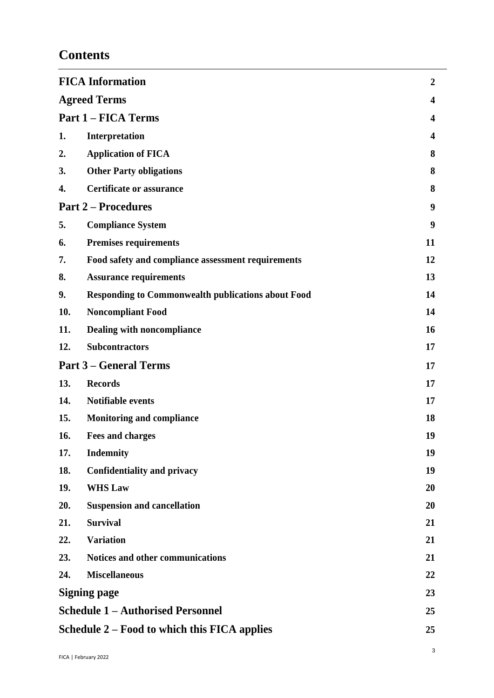## **Contents**

|                                                    | <b>FICA Information</b><br>$\boldsymbol{2}$               |    |  |  |
|----------------------------------------------------|-----------------------------------------------------------|----|--|--|
|                                                    | <b>Agreed Terms</b>                                       |    |  |  |
|                                                    | <b>Part 1 – FICA Terms</b>                                |    |  |  |
| 1.                                                 | Interpretation                                            | 4  |  |  |
| 2.                                                 | <b>Application of FICA</b>                                | 8  |  |  |
| 3.                                                 | <b>Other Party obligations</b>                            | 8  |  |  |
| 4.                                                 | <b>Certificate or assurance</b>                           | 8  |  |  |
|                                                    | <b>Part 2 – Procedures</b>                                |    |  |  |
| 5.                                                 | <b>Compliance System</b>                                  | 9  |  |  |
| 6.                                                 | <b>Premises requirements</b>                              | 11 |  |  |
| 7.                                                 | Food safety and compliance assessment requirements<br>12  |    |  |  |
| 8.                                                 | <b>Assurance requirements</b><br>13                       |    |  |  |
| 9.                                                 | <b>Responding to Commonwealth publications about Food</b> |    |  |  |
| 10.                                                | <b>Noncompliant Food</b>                                  | 14 |  |  |
| 11.                                                | Dealing with noncompliance                                | 16 |  |  |
| 12.                                                | <b>Subcontractors</b>                                     | 17 |  |  |
| <b>Part 3 – General Terms</b>                      |                                                           | 17 |  |  |
| 13.                                                | <b>Records</b>                                            | 17 |  |  |
| 14.                                                | <b>Notifiable events</b>                                  | 17 |  |  |
| 15.                                                | <b>Monitoring and compliance</b>                          | 18 |  |  |
| 16.                                                | 19<br><b>Fees and charges</b>                             |    |  |  |
| 17.                                                | <b>Indemnity</b>                                          | 19 |  |  |
| 18.                                                | <b>Confidentiality and privacy</b>                        | 19 |  |  |
| 19.                                                | <b>WHS Law</b>                                            | 20 |  |  |
| 20.                                                | <b>Suspension and cancellation</b>                        | 20 |  |  |
| 21.                                                | <b>Survival</b>                                           | 21 |  |  |
| 22.                                                | <b>Variation</b>                                          | 21 |  |  |
| 23.                                                | Notices and other communications                          | 21 |  |  |
| 24.                                                | <b>Miscellaneous</b>                                      | 22 |  |  |
|                                                    | <b>Signing page</b><br>23                                 |    |  |  |
|                                                    | <b>Schedule 1 - Authorised Personnel</b><br>25            |    |  |  |
| Schedule 2 – Food to which this FICA applies<br>25 |                                                           |    |  |  |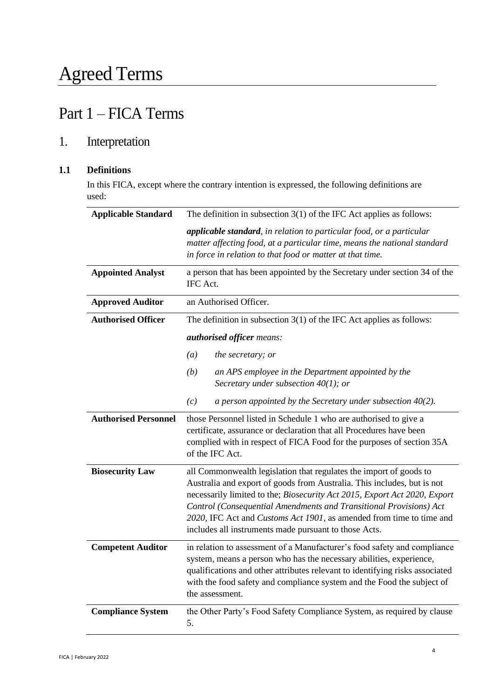## Part 1 – FICA Terms

## 1. Interpretation

### **1.1 Definitions**

In this FICA, except where the contrary intention is expressed, the following definitions are used:

| <b>Applicable Standard</b>  | The definition in subsection $3(1)$ of the IFC Act applies as follows:                                                                                                                                                                                                                                                                                                                                                            |  |  |
|-----------------------------|-----------------------------------------------------------------------------------------------------------------------------------------------------------------------------------------------------------------------------------------------------------------------------------------------------------------------------------------------------------------------------------------------------------------------------------|--|--|
|                             | applicable standard, in relation to particular food, or a particular<br>matter affecting food, at a particular time, means the national standard<br>in force in relation to that food or matter at that time.                                                                                                                                                                                                                     |  |  |
| <b>Appointed Analyst</b>    | a person that has been appointed by the Secretary under section 34 of the<br>IFC Act.                                                                                                                                                                                                                                                                                                                                             |  |  |
| <b>Approved Auditor</b>     | an Authorised Officer.                                                                                                                                                                                                                                                                                                                                                                                                            |  |  |
| <b>Authorised Officer</b>   | The definition in subsection $3(1)$ of the IFC Act applies as follows:                                                                                                                                                                                                                                                                                                                                                            |  |  |
|                             | authorised officer means:                                                                                                                                                                                                                                                                                                                                                                                                         |  |  |
|                             | (a)<br>the secretary; or                                                                                                                                                                                                                                                                                                                                                                                                          |  |  |
|                             | (b)<br>an APS employee in the Department appointed by the<br>Secretary under subsection $40(1)$ ; or                                                                                                                                                                                                                                                                                                                              |  |  |
|                             | a person appointed by the Secretary under subsection $40(2)$ .<br>(c)                                                                                                                                                                                                                                                                                                                                                             |  |  |
| <b>Authorised Personnel</b> | those Personnel listed in Schedule 1 who are authorised to give a<br>certificate, assurance or declaration that all Procedures have been<br>complied with in respect of FICA Food for the purposes of section 35A<br>of the IFC Act.                                                                                                                                                                                              |  |  |
| <b>Biosecurity Law</b>      | all Commonwealth legislation that regulates the import of goods to<br>Australia and export of goods from Australia. This includes, but is not<br>necessarily limited to the; Biosecurity Act 2015, Export Act 2020, Export<br>Control (Consequential Amendments and Transitional Provisions) Act<br>2020, IFC Act and Customs Act 1901, as amended from time to time and<br>includes all instruments made pursuant to those Acts. |  |  |
| <b>Competent Auditor</b>    | in relation to assessment of a Manufacturer's food safety and compliance<br>system, means a person who has the necessary abilities, experience,<br>qualifications and other attributes relevant to identifying risks associated<br>with the food safety and compliance system and the Food the subject of<br>the assessment.                                                                                                      |  |  |
| <b>Compliance System</b>    | the Other Party's Food Safety Compliance System, as required by clause<br>5.                                                                                                                                                                                                                                                                                                                                                      |  |  |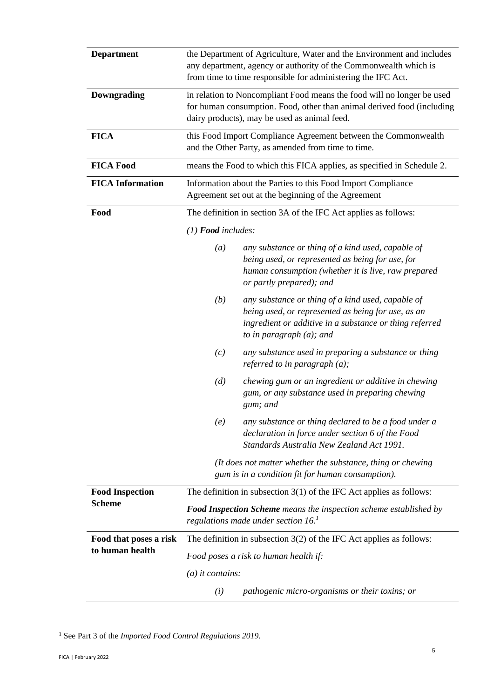| <b>Department</b>       | the Department of Agriculture, Water and the Environment and includes<br>any department, agency or authority of the Commonwealth which is<br>from time to time responsible for administering the IFC Act. |                                                                                                                                                                                                   |  |
|-------------------------|-----------------------------------------------------------------------------------------------------------------------------------------------------------------------------------------------------------|---------------------------------------------------------------------------------------------------------------------------------------------------------------------------------------------------|--|
| <b>Downgrading</b>      | in relation to Noncompliant Food means the food will no longer be used<br>for human consumption. Food, other than animal derived food (including<br>dairy products), may be used as animal feed.          |                                                                                                                                                                                                   |  |
| <b>FICA</b>             | this Food Import Compliance Agreement between the Commonwealth<br>and the Other Party, as amended from time to time.                                                                                      |                                                                                                                                                                                                   |  |
| <b>FICA Food</b>        |                                                                                                                                                                                                           | means the Food to which this FICA applies, as specified in Schedule 2.                                                                                                                            |  |
| <b>FICA Information</b> | Information about the Parties to this Food Import Compliance<br>Agreement set out at the beginning of the Agreement                                                                                       |                                                                                                                                                                                                   |  |
| Food                    | The definition in section 3A of the IFC Act applies as follows:                                                                                                                                           |                                                                                                                                                                                                   |  |
|                         | $(1)$ <b>Food</b> includes:                                                                                                                                                                               |                                                                                                                                                                                                   |  |
|                         | (a)                                                                                                                                                                                                       | any substance or thing of a kind used, capable of<br>being used, or represented as being for use, for<br>human consumption (whether it is live, raw prepared<br>or partly prepared); and          |  |
|                         | (b)                                                                                                                                                                                                       | any substance or thing of a kind used, capable of<br>being used, or represented as being for use, as an<br>ingredient or additive in a substance or thing referred<br>to in paragraph $(a)$ ; and |  |
|                         | (c)                                                                                                                                                                                                       | any substance used in preparing a substance or thing<br>referred to in paragraph $(a)$ ;                                                                                                          |  |
|                         | (d)                                                                                                                                                                                                       | chewing gum or an ingredient or additive in chewing<br>gum, or any substance used in preparing chewing<br>gum; and                                                                                |  |
|                         | (e)                                                                                                                                                                                                       | any substance or thing declared to be a food under a<br>declaration in force under section 6 of the Food<br>Standards Australia New Zealand Act 1991.                                             |  |
|                         | (It does not matter whether the substance, thing or chewing<br>gum is in a condition fit for human consumption).                                                                                          |                                                                                                                                                                                                   |  |
| <b>Food Inspection</b>  | The definition in subsection $3(1)$ of the IFC Act applies as follows:                                                                                                                                    |                                                                                                                                                                                                   |  |
| <b>Scheme</b>           | <b>Food Inspection Scheme</b> means the inspection scheme established by<br>regulations made under section $16$ .                                                                                         |                                                                                                                                                                                                   |  |
| Food that poses a risk  | The definition in subsection $3(2)$ of the IFC Act applies as follows:                                                                                                                                    |                                                                                                                                                                                                   |  |
| to human health         | Food poses a risk to human health if:                                                                                                                                                                     |                                                                                                                                                                                                   |  |
|                         | $(a)$ it contains:                                                                                                                                                                                        |                                                                                                                                                                                                   |  |
|                         | (i)                                                                                                                                                                                                       | pathogenic micro-organisms or their toxins; or                                                                                                                                                    |  |

<sup>1</sup> See Part 3 of the *Imported Food Control Regulations 2019.*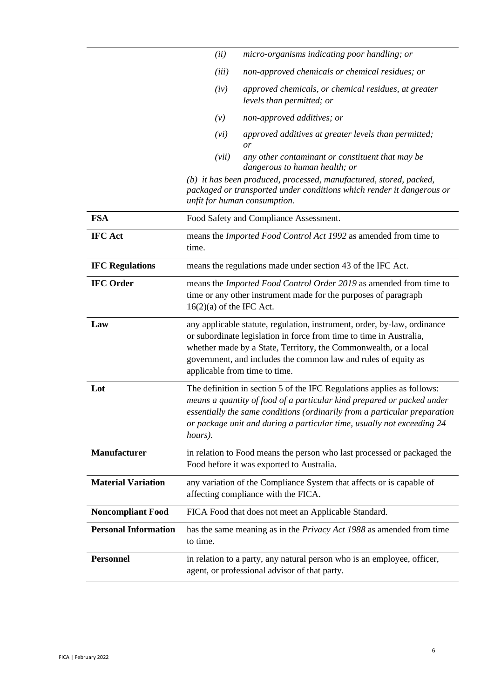|                             | (ii)                                                                                                                                                                                                                                                                                                                   | micro-organisms indicating poor handling; or                                                                                                                                |  |
|-----------------------------|------------------------------------------------------------------------------------------------------------------------------------------------------------------------------------------------------------------------------------------------------------------------------------------------------------------------|-----------------------------------------------------------------------------------------------------------------------------------------------------------------------------|--|
|                             | (iii)                                                                                                                                                                                                                                                                                                                  | non-approved chemicals or chemical residues; or                                                                                                                             |  |
|                             | (iv)                                                                                                                                                                                                                                                                                                                   | approved chemicals, or chemical residues, at greater<br>levels than permitted; or                                                                                           |  |
|                             | (v)                                                                                                                                                                                                                                                                                                                    | non-approved additives; or                                                                                                                                                  |  |
|                             | (vi)                                                                                                                                                                                                                                                                                                                   | approved additives at greater levels than permitted;<br>or                                                                                                                  |  |
|                             | (vii)                                                                                                                                                                                                                                                                                                                  | any other contaminant or constituent that may be<br>dangerous to human health; or                                                                                           |  |
|                             |                                                                                                                                                                                                                                                                                                                        | (b) it has been produced, processed, manufactured, stored, packed,<br>packaged or transported under conditions which render it dangerous or<br>unfit for human consumption. |  |
| <b>FSA</b>                  |                                                                                                                                                                                                                                                                                                                        | Food Safety and Compliance Assessment.                                                                                                                                      |  |
| <b>IFC Act</b>              | means the Imported Food Control Act 1992 as amended from time to<br>time.                                                                                                                                                                                                                                              |                                                                                                                                                                             |  |
| <b>IFC Regulations</b>      | means the regulations made under section 43 of the IFC Act.                                                                                                                                                                                                                                                            |                                                                                                                                                                             |  |
| <b>IFC Order</b>            | means the Imported Food Control Order 2019 as amended from time to<br>time or any other instrument made for the purposes of paragraph<br>$16(2)(a)$ of the IFC Act.                                                                                                                                                    |                                                                                                                                                                             |  |
| Law                         | any applicable statute, regulation, instrument, order, by-law, ordinance<br>or subordinate legislation in force from time to time in Australia,<br>whether made by a State, Territory, the Commonwealth, or a local<br>government, and includes the common law and rules of equity as<br>applicable from time to time. |                                                                                                                                                                             |  |
| Lot                         | The definition in section 5 of the IFC Regulations applies as follows:<br>means a quantity of food of a particular kind prepared or packed under<br>essentially the same conditions (ordinarily from a particular preparation<br>or package unit and during a particular time, usually not exceeding 24<br>hours).     |                                                                                                                                                                             |  |
| <b>Manufacturer</b>         | in relation to Food means the person who last processed or packaged the<br>Food before it was exported to Australia.                                                                                                                                                                                                   |                                                                                                                                                                             |  |
| <b>Material Variation</b>   | any variation of the Compliance System that affects or is capable of<br>affecting compliance with the FICA.                                                                                                                                                                                                            |                                                                                                                                                                             |  |
| <b>Noncompliant Food</b>    |                                                                                                                                                                                                                                                                                                                        | FICA Food that does not meet an Applicable Standard.                                                                                                                        |  |
| <b>Personal Information</b> | to time.                                                                                                                                                                                                                                                                                                               | has the same meaning as in the <i>Privacy Act 1988</i> as amended from time                                                                                                 |  |
| <b>Personnel</b>            |                                                                                                                                                                                                                                                                                                                        | in relation to a party, any natural person who is an employee, officer,<br>agent, or professional advisor of that party.                                                    |  |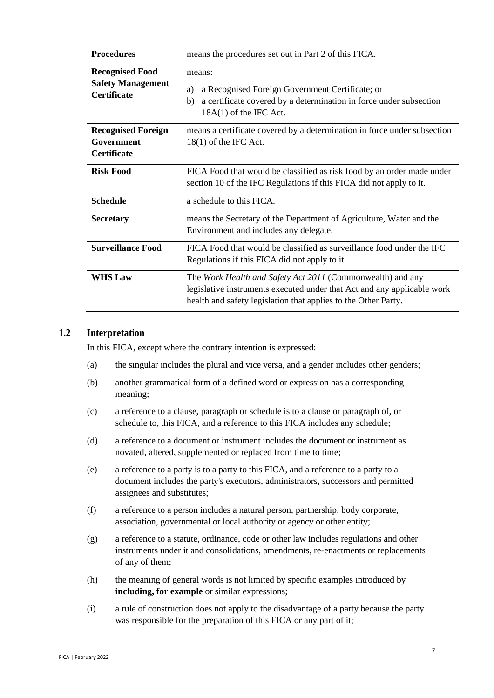| <b>Procedures</b>                                                        | means the procedures set out in Part 2 of this FICA.                                                                                                                                                    |  |
|--------------------------------------------------------------------------|---------------------------------------------------------------------------------------------------------------------------------------------------------------------------------------------------------|--|
| <b>Recognised Food</b><br><b>Safety Management</b><br><b>Certificate</b> | means:<br>a Recognised Foreign Government Certificate; or<br>a)<br>a certificate covered by a determination in force under subsection<br>b)<br>$18A(1)$ of the IFC Act.                                 |  |
| <b>Recognised Foreign</b><br>Government<br><b>Certificate</b>            | means a certificate covered by a determination in force under subsection<br>$18(1)$ of the IFC Act.                                                                                                     |  |
| <b>Risk Food</b>                                                         | FICA Food that would be classified as risk food by an order made under<br>section 10 of the IFC Regulations if this FICA did not apply to it.                                                           |  |
| <b>Schedule</b>                                                          | a schedule to this FICA.                                                                                                                                                                                |  |
| <b>Secretary</b>                                                         | means the Secretary of the Department of Agriculture, Water and the<br>Environment and includes any delegate.                                                                                           |  |
| <b>Surveillance Food</b>                                                 | FICA Food that would be classified as surveillance food under the IFC<br>Regulations if this FICA did not apply to it.                                                                                  |  |
| <b>WHS Law</b>                                                           | The Work Health and Safety Act 2011 (Commonwealth) and any<br>legislative instruments executed under that Act and any applicable work<br>health and safety legislation that applies to the Other Party. |  |

#### **1.2 Interpretation**

In this FICA, except where the contrary intention is expressed:

- (a) the singular includes the plural and vice versa, and a gender includes other genders;
- (b) another grammatical form of a defined word or expression has a corresponding meaning;
- (c) a reference to a clause, paragraph or schedule is to a clause or paragraph of, or schedule to, this FICA, and a reference to this FICA includes any schedule;
- (d) a reference to a document or instrument includes the document or instrument as novated, altered, supplemented or replaced from time to time;
- (e) a reference to a party is to a party to this FICA, and a reference to a party to a document includes the party's executors, administrators, successors and permitted assignees and substitutes;
- (f) a reference to a person includes a natural person, partnership, body corporate, association, governmental or local authority or agency or other entity;
- (g) a reference to a statute, ordinance, code or other law includes regulations and other instruments under it and consolidations, amendments, re-enactments or replacements of any of them;
- (h) the meaning of general words is not limited by specific examples introduced by **including, for example** or similar expressions;
- (i) a rule of construction does not apply to the disadvantage of a party because the party was responsible for the preparation of this FICA or any part of it;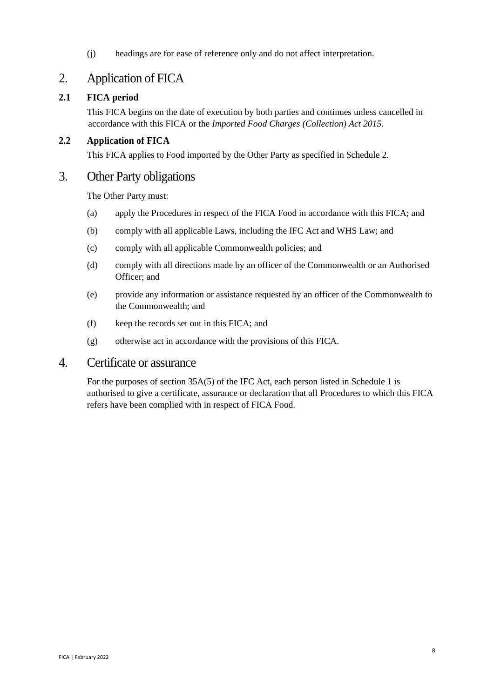(j) headings are for ease of reference only and do not affect interpretation.

## 2. Application of FICA

## **2.1 FICA period**

This FICA begins on the date of execution by both parties and continues unless cancelled in accordance with this FICA or the *Imported Food Charges (Collection) Act 2015*.

## **2.2 Application of FICA**

This FICA applies to Food imported by the Other Party as specified in Schedule 2.

## 3. Other Party obligations

The Other Party must:

- (a) apply the Procedures in respect of the FICA Food in accordance with this FICA; and
- (b) comply with all applicable Laws, including the IFC Act and WHS Law; and
- (c) comply with all applicable Commonwealth policies; and
- (d) comply with all directions made by an officer of the Commonwealth or an Authorised Officer; and
- (e) provide any information or assistance requested by an officer of the Commonwealth to the Commonwealth; and
- (f) keep the records set out in this FICA; and
- (g) otherwise act in accordance with the provisions of this FICA.

## 4. Certificate or assurance

For the purposes of section 35A(5) of the IFC Act, each person listed in Schedule 1 is authorised to give a certificate, assurance or declaration that all Procedures to which this FICA refers have been complied with in respect of FICA Food.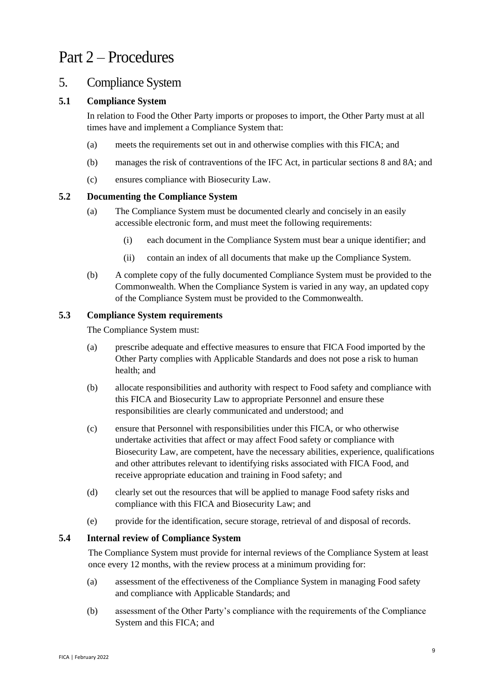## Part 2 – Procedures

## 5. Compliance System

### **5.1 Compliance System**

In relation to Food the Other Party imports or proposes to import, the Other Party must at all times have and implement a Compliance System that:

- (a) meets the requirements set out in and otherwise complies with this FICA; and
- (b) manages the risk of contraventions of the IFC Act, in particular sections 8 and 8A; and
- (c) ensures compliance with Biosecurity Law.

#### **5.2 Documenting the Compliance System**

- (a) The Compliance System must be documented clearly and concisely in an easily accessible electronic form, and must meet the following requirements:
	- (i) each document in the Compliance System must bear a unique identifier; and
	- (ii) contain an index of all documents that make up the Compliance System.
- (b) A complete copy of the fully documented Compliance System must be provided to the Commonwealth. When the Compliance System is varied in any way, an updated copy of the Compliance System must be provided to the Commonwealth.

#### **5.3 Compliance System requirements**

The Compliance System must:

- (a) prescribe adequate and effective measures to ensure that FICA Food imported by the Other Party complies with Applicable Standards and does not pose a risk to human health; and
- (b) allocate responsibilities and authority with respect to Food safety and compliance with this FICA and Biosecurity Law to appropriate Personnel and ensure these responsibilities are clearly communicated and understood; and
- (c) ensure that Personnel with responsibilities under this FICA, or who otherwise undertake activities that affect or may affect Food safety or compliance with Biosecurity Law, are competent, have the necessary abilities, experience, qualifications and other attributes relevant to identifying risks associated with FICA Food, and receive appropriate education and training in Food safety; and
- (d) clearly set out the resources that will be applied to manage Food safety risks and compliance with this FICA and Biosecurity Law; and
- (e) provide for the identification, secure storage, retrieval of and disposal of records.

#### **5.4 Internal review of Compliance System**

The Compliance System must provide for internal reviews of the Compliance System at least once every 12 months, with the review process at a minimum providing for:

- (a) assessment of the effectiveness of the Compliance System in managing Food safety and compliance with Applicable Standards; and
- (b) assessment of the Other Party's compliance with the requirements of the Compliance System and this FICA; and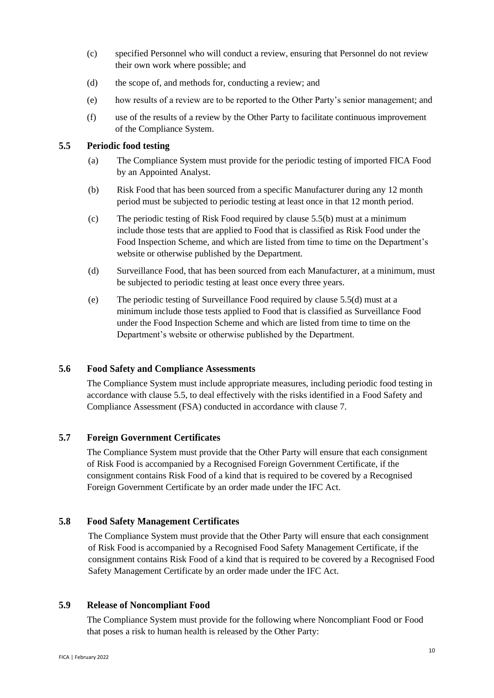- (c) specified Personnel who will conduct a review, ensuring that Personnel do not review their own work where possible; and
- (d) the scope of, and methods for, conducting a review; and
- (e) how results of a review are to be reported to the Other Party's senior management; and
- (f) use of the results of a review by the Other Party to facilitate continuous improvement of the Compliance System.

#### **5.5 Periodic food testing**

- (a) The Compliance System must provide for the periodic testing of imported FICA Food by an Appointed Analyst.
- (b) Risk Food that has been sourced from a specific Manufacturer during any 12 month period must be subjected to periodic testing at least once in that 12 month period.
- (c) The periodic testing of Risk Food required by clause 5.5(b) must at a minimum include those tests that are applied to Food that is classified as Risk Food under the Food Inspection Scheme, and which are listed from time to time on the Department's website or otherwise published by the Department.
- (d) Surveillance Food, that has been sourced from each Manufacturer, at a minimum, must be subjected to periodic testing at least once every three years.
- (e) The periodic testing of Surveillance Food required by clause 5.5(d) must at a minimum include those tests applied to Food that is classified as Surveillance Food under the Food Inspection Scheme and which are listed from time to time on the Department's website or otherwise published by the Department.

#### **5.6 Food Safety and Compliance Assessments**

The Compliance System must include appropriate measures, including periodic food testing in accordance with clause 5.5, to deal effectively with the risks identified in a Food Safety and Compliance Assessment (FSA) conducted in accordance with clause 7.

#### **5.7 Foreign Government Certificates**

The Compliance System must provide that the Other Party will ensure that each consignment of Risk Food is accompanied by a Recognised Foreign Government Certificate, if the consignment contains Risk Food of a kind that is required to be covered by a Recognised Foreign Government Certificate by an order made under the IFC Act.

#### **5.8 Food Safety Management Certificates**

The Compliance System must provide that the Other Party will ensure that each consignment of Risk Food is accompanied by a Recognised Food Safety Management Certificate, if the consignment contains Risk Food of a kind that is required to be covered by a Recognised Food Safety Management Certificate by an order made under the IFC Act.

#### **5.9 Release of Noncompliant Food**

The Compliance System must provide for the following where Noncompliant Food or Food that poses a risk to human health is released by the Other Party: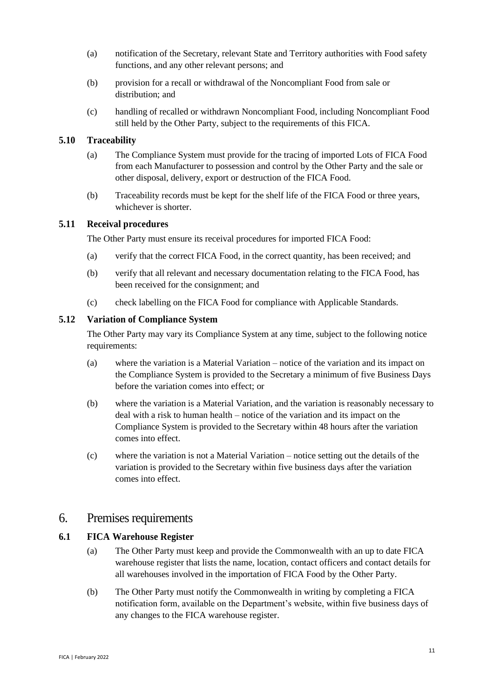- (a) notification of the Secretary, relevant State and Territory authorities with Food safety functions, and any other relevant persons; and
- (b) provision for a recall or withdrawal of the Noncompliant Food from sale or distribution; and
- (c) handling of recalled or withdrawn Noncompliant Food, including Noncompliant Food still held by the Other Party, subject to the requirements of this FICA.

#### **5.10 Traceability**

- (a) The Compliance System must provide for the tracing of imported Lots of FICA Food from each Manufacturer to possession and control by the Other Party and the sale or other disposal, delivery, export or destruction of the FICA Food.
- (b) Traceability records must be kept for the shelf life of the FICA Food or three years, whichever is shorter.

#### **5.11 Receival procedures**

The Other Party must ensure its receival procedures for imported FICA Food:

- (a) verify that the correct FICA Food, in the correct quantity, has been received; and
- (b) verify that all relevant and necessary documentation relating to the FICA Food, has been received for the consignment; and
- (c) check labelling on the FICA Food for compliance with Applicable Standards.

#### **5.12 Variation of Compliance System**

The Other Party may vary its Compliance System at any time, subject to the following notice requirements:

- (a) where the variation is a Material Variation notice of the variation and its impact on the Compliance System is provided to the Secretary a minimum of five Business Days before the variation comes into effect; or
- (b) where the variation is a Material Variation, and the variation is reasonably necessary to deal with a risk to human health – notice of the variation and its impact on the Compliance System is provided to the Secretary within 48 hours after the variation comes into effect.
- (c) where the variation is not a Material Variation notice setting out the details of the variation is provided to the Secretary within five business days after the variation comes into effect.

### 6. Premises requirements

#### **6.1 FICA Warehouse Register**

- (a) The Other Party must keep and provide the Commonwealth with an up to date FICA warehouse register that lists the name, location, contact officers and contact details for all warehouses involved in the importation of FICA Food by the Other Party.
- (b) The Other Party must notify the Commonwealth in writing by completing a FICA notification form, available on the Department's website, within five business days of any changes to the FICA warehouse register.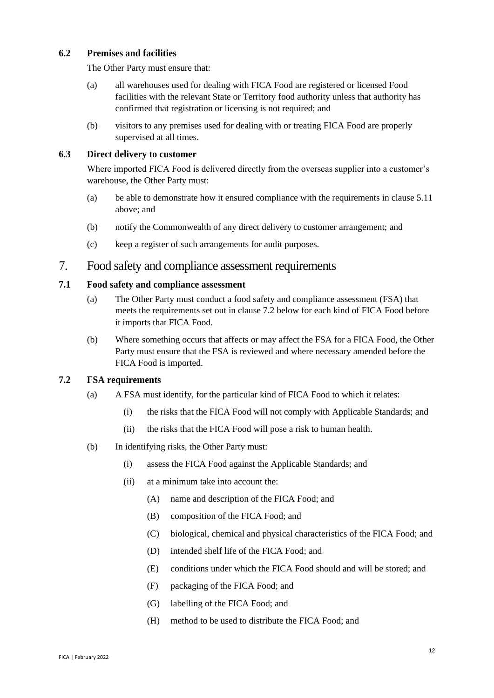#### **6.2 Premises and facilities**

The Other Party must ensure that:

- (a) all warehouses used for dealing with FICA Food are registered or licensed Food facilities with the relevant State or Territory food authority unless that authority has confirmed that registration or licensing is not required; and
- (b) visitors to any premises used for dealing with or treating FICA Food are properly supervised at all times.

#### **6.3 Direct delivery to customer**

Where imported FICA Food is delivered directly from the overseas supplier into a customer's warehouse, the Other Party must:

- (a) be able to demonstrate how it ensured compliance with the requirements in clause 5.11 above; and
- (b) notify the Commonwealth of any direct delivery to customer arrangement; and
- (c) keep a register of such arrangements for audit purposes.

## 7. Food safety and compliance assessment requirements

#### **7.1 Food safety and compliance assessment**

- (a) The Other Party must conduct a food safety and compliance assessment (FSA) that meets the requirements set out in clause 7.2 below for each kind of FICA Food before it imports that FICA Food.
- (b) Where something occurs that affects or may affect the FSA for a FICA Food, the Other Party must ensure that the FSA is reviewed and where necessary amended before the FICA Food is imported.

#### **7.2 FSA requirements**

- (a) A FSA must identify, for the particular kind of FICA Food to which it relates:
	- (i) the risks that the FICA Food will not comply with Applicable Standards; and
	- (ii) the risks that the FICA Food will pose a risk to human health.
- (b) In identifying risks, the Other Party must:
	- (i) assess the FICA Food against the Applicable Standards; and
	- (ii) at a minimum take into account the:
		- (A) name and description of the FICA Food; and
		- (B) composition of the FICA Food; and
		- (C) biological, chemical and physical characteristics of the FICA Food; and
		- (D) intended shelf life of the FICA Food; and
		- (E) conditions under which the FICA Food should and will be stored; and
		- (F) packaging of the FICA Food; and
		- (G) labelling of the FICA Food; and
		- (H) method to be used to distribute the FICA Food; and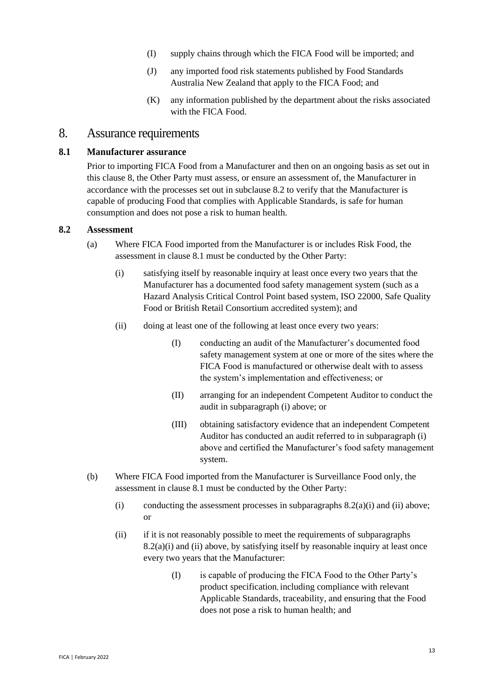- (I) supply chains through which the FICA Food will be imported; and
- (J) any imported food risk statements published by Food Standards Australia New Zealand that apply to the FICA Food; and
- (K) any information published by the department about the risks associated with the FICA Food.

## 8. Assurance requirements

#### **8.1 Manufacturer assurance**

Prior to importing FICA Food from a Manufacturer and then on an ongoing basis as set out in this clause 8, the Other Party must assess, or ensure an assessment of, the Manufacturer in accordance with the processes set out in subclause 8.2 to verify that the Manufacturer is capable of producing Food that complies with Applicable Standards, is safe for human consumption and does not pose a risk to human health.

#### **8.2 Assessment**

- (a) Where FICA Food imported from the Manufacturer is or includes Risk Food, the assessment in clause 8.1 must be conducted by the Other Party:
	- (i) satisfying itself by reasonable inquiry at least once every two years that the Manufacturer has a documented food safety management system (such as a Hazard Analysis Critical Control Point based system, ISO 22000, Safe Quality Food or British Retail Consortium accredited system); and
	- (ii) doing at least one of the following at least once every two years:
		- (I) conducting an audit of the Manufacturer's documented food safety management system at one or more of the sites where the FICA Food is manufactured or otherwise dealt with to assess the system's implementation and effectiveness; or
		- (II) arranging for an independent Competent Auditor to conduct the audit in subparagraph (i) above; or
		- (III) obtaining satisfactory evidence that an independent Competent Auditor has conducted an audit referred to in subparagraph (i) above and certified the Manufacturer's food safety management system.
- (b) Where FICA Food imported from the Manufacturer is Surveillance Food only, the assessment in clause 8.1 must be conducted by the Other Party:
	- (i) conducting the assessment processes in subparagraphs  $8.2(a)(i)$  and (ii) above; or
	- (ii) if it is not reasonably possible to meet the requirements of subparagraphs  $8.2(a)(i)$  and (ii) above, by satisfying itself by reasonable inquiry at least once every two years that the Manufacturer:
		- (I) is capable of producing the FICA Food to the Other Party's product specification, including compliance with relevant Applicable Standards, traceability, and ensuring that the Food does not pose a risk to human health; and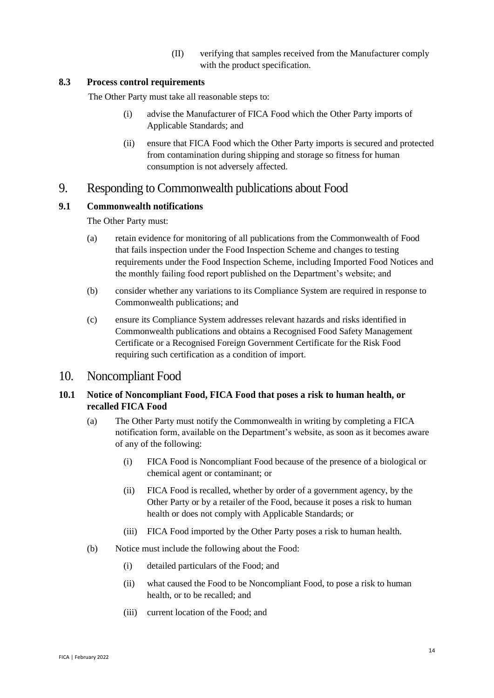(II) verifying that samples received from the Manufacturer comply with the product specification.

#### **8.3 Process control requirements**

The Other Party must take all reasonable steps to:

- (i) advise the Manufacturer of FICA Food which the Other Party imports of Applicable Standards; and
- (ii) ensure that FICA Food which the Other Party imports is secured and protected from contamination during shipping and storage so fitness for human consumption is not adversely affected.

## 9. Responding to Commonwealth publications about Food

#### **9.1 Commonwealth notifications**

The Other Party must:

- (a) retain evidence for monitoring of all publications from the Commonwealth of Food that fails inspection under the Food Inspection Scheme and changes to testing requirements under the Food Inspection Scheme, including Imported Food Notices and the monthly failing food report published on the Department's website; and
- (b) consider whether any variations to its Compliance System are required in response to Commonwealth publications; and
- (c) ensure its Compliance System addresses relevant hazards and risks identified in Commonwealth publications and obtains a Recognised Food Safety Management Certificate or a Recognised Foreign Government Certificate for the Risk Food requiring such certification as a condition of import.

### 10. Noncompliant Food

#### **10.1 Notice of Noncompliant Food, FICA Food that poses a risk to human health, or recalled FICA Food**

- (a) The Other Party must notify the Commonwealth in writing by completing a FICA notification form, available on the Department's website, as soon as it becomes aware of any of the following:
	- (i) FICA Food is Noncompliant Food because of the presence of a biological or chemical agent or contaminant; or
	- (ii) FICA Food is recalled, whether by order of a government agency, by the Other Party or by a retailer of the Food, because it poses a risk to human health or does not comply with Applicable Standards; or
	- (iii) FICA Food imported by the Other Party poses a risk to human health.
- (b) Notice must include the following about the Food:
	- (i) detailed particulars of the Food; and
	- (ii) what caused the Food to be Noncompliant Food, to pose a risk to human health, or to be recalled; and
	- (iii) current location of the Food; and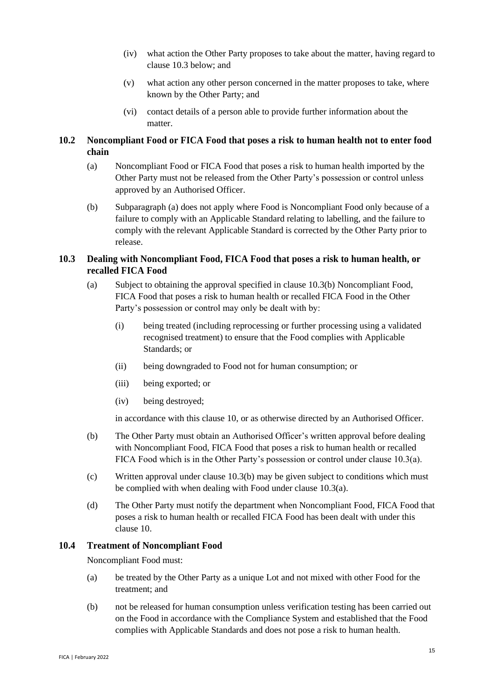- (iv) what action the Other Party proposes to take about the matter, having regard to clause 10.3 below; and
- (v) what action any other person concerned in the matter proposes to take, where known by the Other Party; and
- (vi) contact details of a person able to provide further information about the matter.

#### **10.2 Noncompliant Food or FICA Food that poses a risk to human health not to enter food chain**

- (a) Noncompliant Food or FICA Food that poses a risk to human health imported by the Other Party must not be released from the Other Party's possession or control unless approved by an Authorised Officer.
- (b) Subparagraph (a) does not apply where Food is Noncompliant Food only because of a failure to comply with an Applicable Standard relating to labelling, and the failure to comply with the relevant Applicable Standard is corrected by the Other Party prior to release.

#### **10.3 Dealing with Noncompliant Food, FICA Food that poses a risk to human health, or recalled FICA Food**

- (a) Subject to obtaining the approval specified in clause 10.3(b) Noncompliant Food, FICA Food that poses a risk to human health or recalled FICA Food in the Other Party's possession or control may only be dealt with by:
	- (i) being treated (including reprocessing or further processing using a validated recognised treatment) to ensure that the Food complies with Applicable Standards; or
	- (ii) being downgraded to Food not for human consumption; or
	- (iii) being exported; or
	- (iv) being destroyed;

in accordance with this clause 10, or as otherwise directed by an Authorised Officer.

- (b) The Other Party must obtain an Authorised Officer's written approval before dealing with Noncompliant Food, FICA Food that poses a risk to human health or recalled FICA Food which is in the Other Party's possession or control under clause 10.3(a).
- (c) Written approval under clause 10.3(b) may be given subject to conditions which must be complied with when dealing with Food under clause 10.3(a).
- (d) The Other Party must notify the department when Noncompliant Food, FICA Food that poses a risk to human health or recalled FICA Food has been dealt with under this clause 10.

#### **10.4 Treatment of Noncompliant Food**

Noncompliant Food must:

- (a) be treated by the Other Party as a unique Lot and not mixed with other Food for the treatment; and
- (b) not be released for human consumption unless verification testing has been carried out on the Food in accordance with the Compliance System and established that the Food complies with Applicable Standards and does not pose a risk to human health.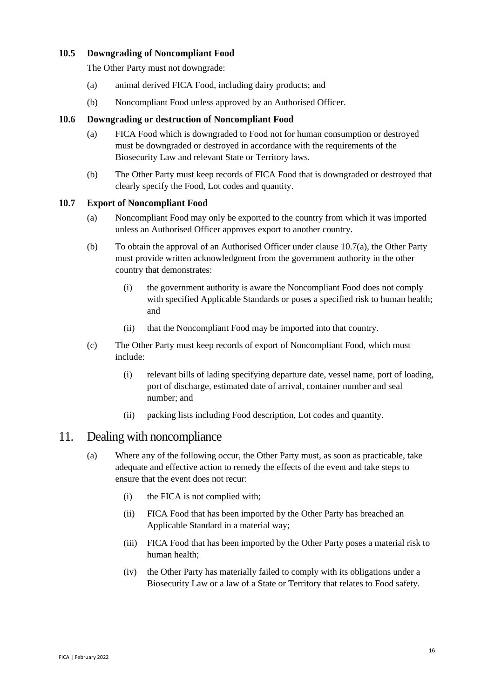#### **10.5 Downgrading of Noncompliant Food**

The Other Party must not downgrade:

- (a) animal derived FICA Food, including dairy products; and
- (b) Noncompliant Food unless approved by an Authorised Officer.

#### **10.6 Downgrading or destruction of Noncompliant Food**

- (a) FICA Food which is downgraded to Food not for human consumption or destroyed must be downgraded or destroyed in accordance with the requirements of the Biosecurity Law and relevant State or Territory laws.
- (b) The Other Party must keep records of FICA Food that is downgraded or destroyed that clearly specify the Food, Lot codes and quantity.

#### **10.7 Export of Noncompliant Food**

- (a) Noncompliant Food may only be exported to the country from which it was imported unless an Authorised Officer approves export to another country.
- (b) To obtain the approval of an Authorised Officer under clause 10.7(a), the Other Party must provide written acknowledgment from the government authority in the other country that demonstrates:
	- (i) the government authority is aware the Noncompliant Food does not comply with specified Applicable Standards or poses a specified risk to human health; and
	- (ii) that the Noncompliant Food may be imported into that country.
- (c) The Other Party must keep records of export of Noncompliant Food, which must include:
	- (i) relevant bills of lading specifying departure date, vessel name, port of loading, port of discharge, estimated date of arrival, container number and seal number; and
	- (ii) packing lists including Food description, Lot codes and quantity.

## 11. Dealing with noncompliance

- (a) Where any of the following occur, the Other Party must, as soon as practicable, take adequate and effective action to remedy the effects of the event and take steps to ensure that the event does not recur:
	- (i) the FICA is not complied with;
	- (ii) FICA Food that has been imported by the Other Party has breached an Applicable Standard in a material way;
	- (iii) FICA Food that has been imported by the Other Party poses a material risk to human health;
	- (iv) the Other Party has materially failed to comply with its obligations under a Biosecurity Law or a law of a State or Territory that relates to Food safety.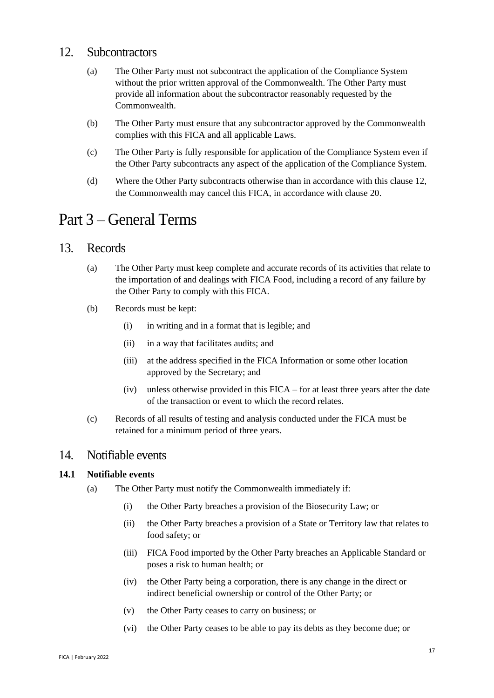### 12. Subcontractors

- (a) The Other Party must not subcontract the application of the Compliance System without the prior written approval of the Commonwealth. The Other Party must provide all information about the subcontractor reasonably requested by the Commonwealth.
- (b) The Other Party must ensure that any subcontractor approved by the Commonwealth complies with this FICA and all applicable Laws.
- (c) The Other Party is fully responsible for application of the Compliance System even if the Other Party subcontracts any aspect of the application of the Compliance System.
- (d) Where the Other Party subcontracts otherwise than in accordance with this clause 12, the Commonwealth may cancel this FICA, in accordance with clause 20.

## Part 3 – General Terms

## 13. Records

- (a) The Other Party must keep complete and accurate records of its activities that relate to the importation of and dealings with FICA Food, including a record of any failure by the Other Party to comply with this FICA.
- (b) Records must be kept:
	- (i) in writing and in a format that is legible; and
	- (ii) in a way that facilitates audits; and
	- (iii) at the address specified in the FICA Information or some other location approved by the Secretary; and
	- (iv) unless otherwise provided in this FICA for at least three years after the date of the transaction or event to which the record relates.
- (c) Records of all results of testing and analysis conducted under the FICA must be retained for a minimum period of three years.

## 14. Notifiable events

#### **14.1 Notifiable events**

- (a) The Other Party must notify the Commonwealth immediately if:
	- (i) the Other Party breaches a provision of the Biosecurity Law; or
	- (ii) the Other Party breaches a provision of a State or Territory law that relates to food safety; or
	- (iii) FICA Food imported by the Other Party breaches an Applicable Standard or poses a risk to human health; or
	- (iv) the Other Party being a corporation, there is any change in the direct or indirect beneficial ownership or control of the Other Party; or
	- (v) the Other Party ceases to carry on business; or
	- (vi) the Other Party ceases to be able to pay its debts as they become due; or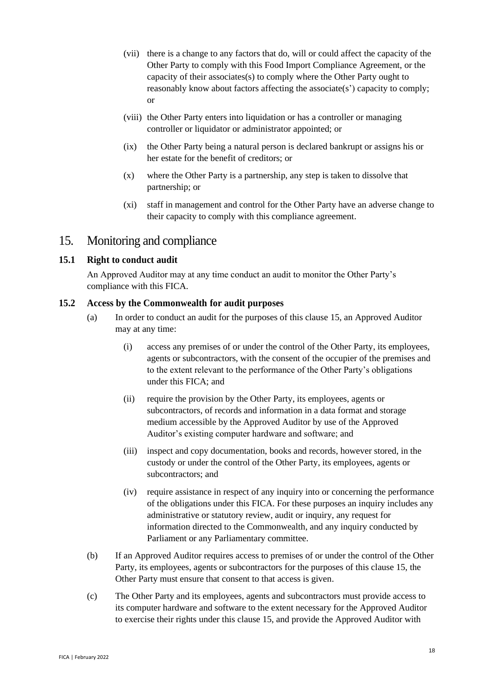- (vii) there is a change to any factors that do, will or could affect the capacity of the Other Party to comply with this Food Import Compliance Agreement, or the capacity of their associates(s) to comply where the Other Party ought to reasonably know about factors affecting the associate(s') capacity to comply; or
- (viii) the Other Party enters into liquidation or has a controller or managing controller or liquidator or administrator appointed; or
- (ix) the Other Party being a natural person is declared bankrupt or assigns his or her estate for the benefit of creditors; or
- (x) where the Other Party is a partnership, any step is taken to dissolve that partnership; or
- (xi) staff in management and control for the Other Party have an adverse change to their capacity to comply with this compliance agreement.

## 15. Monitoring and compliance

#### **15.1 Right to conduct audit**

An Approved Auditor may at any time conduct an audit to monitor the Other Party's compliance with this FICA.

#### **15.2 Access by the Commonwealth for audit purposes**

- (a) In order to conduct an audit for the purposes of this clause 15, an Approved Auditor may at any time:
	- (i) access any premises of or under the control of the Other Party, its employees, agents or subcontractors, with the consent of the occupier of the premises and to the extent relevant to the performance of the Other Party's obligations under this FICA; and
	- (ii) require the provision by the Other Party, its employees, agents or subcontractors, of records and information in a data format and storage medium accessible by the Approved Auditor by use of the Approved Auditor's existing computer hardware and software; and
	- (iii) inspect and copy documentation, books and records, however stored, in the custody or under the control of the Other Party, its employees, agents or subcontractors; and
	- (iv) require assistance in respect of any inquiry into or concerning the performance of the obligations under this FICA. For these purposes an inquiry includes any administrative or statutory review, audit or inquiry, any request for information directed to the Commonwealth, and any inquiry conducted by Parliament or any Parliamentary committee.
- (b) If an Approved Auditor requires access to premises of or under the control of the Other Party, its employees, agents or subcontractors for the purposes of this clause 15, the Other Party must ensure that consent to that access is given.
- (c) The Other Party and its employees, agents and subcontractors must provide access to its computer hardware and software to the extent necessary for the Approved Auditor to exercise their rights under this clause 15, and provide the Approved Auditor with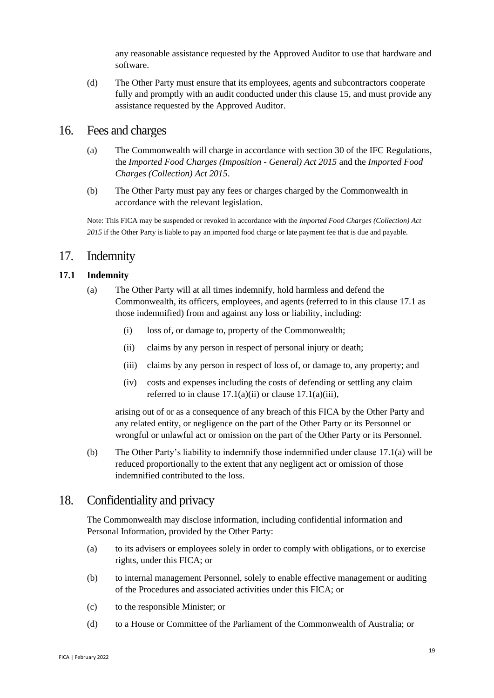any reasonable assistance requested by the Approved Auditor to use that hardware and software.

(d) The Other Party must ensure that its employees, agents and subcontractors cooperate fully and promptly with an audit conducted under this clause 15, and must provide any assistance requested by the Approved Auditor.

### 16. Fees and charges

- (a) The Commonwealth will charge in accordance with section 30 of the IFC Regulations, the *Imported Food Charges (Imposition - General) Act 2015* and the *Imported Food Charges (Collection) Act 2015*.
- (b) The Other Party must pay any fees or charges charged by the Commonwealth in accordance with the relevant legislation.

Note: This FICA may be suspended or revoked in accordance with the *Imported Food Charges (Collection) Act 2015* if the Other Party is liable to pay an imported food charge or late payment fee that is due and payable.

### 17. Indemnity

#### <span id="page-18-3"></span><span id="page-18-0"></span>**17.1 Indemnity**

- <span id="page-18-1"></span>(a) The Other Party will at all times indemnify, hold harmless and defend the Commonwealth, its officers, employees, and agents (referred to in this clause [17.1](#page-18-0) as those indemnified) from and against any loss or liability, including:
	- (i) loss of, or damage to, property of the Commonwealth;
	- (ii) claims by any person in respect of personal injury or death;
	- (iii) claims by any person in respect of loss of, or damage to, any property; and
	- (iv) costs and expenses including the costs of defending or settling any claim referred to in clause  $17.1(a)(ii)$  or clause  $17.1(a)(iii)$ ,

<span id="page-18-2"></span>arising out of or as a consequence of any breach of this FICA by the Other Party and any related entity, or negligence on the part of the Other Party or its Personnel or wrongful or unlawful act or omission on the part of the Other Party or its Personnel.

(b) The Other Party's liability to indemnify those indemnified under clause [17.1\(a\)](#page-18-3) will be reduced proportionally to the extent that any negligent act or omission of those indemnified contributed to the loss.

## 18. Confidentiality and privacy

The Commonwealth may disclose information, including confidential information and Personal Information, provided by the Other Party:

- (a) to its advisers or employees solely in order to comply with obligations, or to exercise rights, under this FICA; or
- (b) to internal management Personnel, solely to enable effective management or auditing of the Procedures and associated activities under this FICA; or
- (c) to the responsible Minister; or
- (d) to a House or Committee of the Parliament of the Commonwealth of Australia; or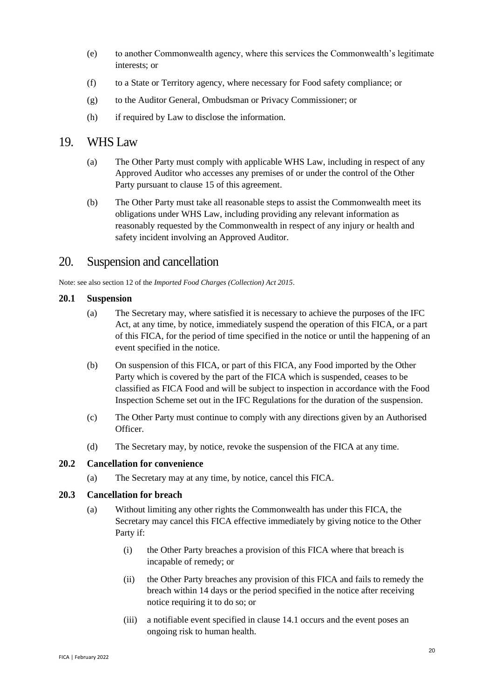- (e) to another Commonwealth agency, where this services the Commonwealth's legitimate interests; or
- (f) to a State or Territory agency, where necessary for Food safety compliance; or
- (g) to the Auditor General, Ombudsman or Privacy Commissioner; or
- (h) if required by Law to disclose the information.

## 19. WHS Law

- (a) The Other Party must comply with applicable WHS Law, including in respect of any Approved Auditor who accesses any premises of or under the control of the Other Party pursuant to clause 15 of this agreement.
- (b) The Other Party must take all reasonable steps to assist the Commonwealth meet its obligations under WHS Law, including providing any relevant information as reasonably requested by the Commonwealth in respect of any injury or health and safety incident involving an Approved Auditor.

## 20. Suspension and cancellation

Note: see also section 12 of the *Imported Food Charges (Collection) Act 2015*.

#### **20.1 Suspension**

- (a) The Secretary may, where satisfied it is necessary to achieve the purposes of the IFC Act, at any time, by notice, immediately suspend the operation of this FICA, or a part of this FICA, for the period of time specified in the notice or until the happening of an event specified in the notice.
- (b) On suspension of this FICA, or part of this FICA, any Food imported by the Other Party which is covered by the part of the FICA which is suspended, ceases to be classified as FICA Food and will be subject to inspection in accordance with the Food Inspection Scheme set out in the IFC Regulations for the duration of the suspension.
- (c) The Other Party must continue to comply with any directions given by an Authorised Officer.
- (d) The Secretary may, by notice, revoke the suspension of the FICA at any time.

#### **20.2 Cancellation for convenience**

(a) The Secretary may at any time, by notice, cancel this FICA.

#### **20.3 Cancellation for breach**

- (a) Without limiting any other rights the Commonwealth has under this FICA, the Secretary may cancel this FICA effective immediately by giving notice to the Other Party if:
	- (i) the Other Party breaches a provision of this FICA where that breach is incapable of remedy; or
	- (ii) the Other Party breaches any provision of this FICA and fails to remedy the breach within 14 days or the period specified in the notice after receiving notice requiring it to do so; or
	- (iii) a notifiable event specified in clause 14.1 occurs and the event poses an ongoing risk to human health.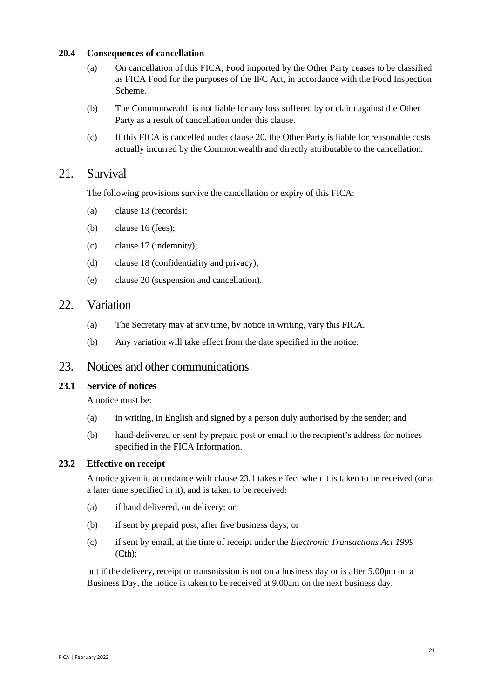#### **20.4 Consequences of cancellation**

- (a) On cancellation of this FICA, Food imported by the Other Party ceases to be classified as FICA Food for the purposes of the IFC Act, in accordance with the Food Inspection Scheme.
- (b) The Commonwealth is not liable for any loss suffered by or claim against the Other Party as a result of cancellation under this clause.
- (c) If this FICA is cancelled under clause 20, the Other Party is liable for reasonable costs actually incurred by the Commonwealth and directly attributable to the cancellation.

## 21. Survival

The following provisions survive the cancellation or expiry of this FICA:

- (a) clause 13 (records);
- (b) clause 16 (fees);
- (c) clause 17 (indemnity);
- (d) clause 18 (confidentiality and privacy);
- (e) clause 20 (suspension and cancellation).

## 22. Variation

- (a) The Secretary may at any time, by notice in writing, vary this FICA.
- (b) Any variation will take effect from the date specified in the notice.

### 23. Notices and other communications

#### <span id="page-20-0"></span>**23.1 Service of notices**

A notice must be:

- (a) in writing, in English and signed by a person duly authorised by the sender; and
- (b) hand-delivered or sent by prepaid post or email to the recipient's address for notices specified in the FICA Information.

#### **23.2 Effective on receipt**

A notice given in accordance with clause [23.1](#page-20-0) takes effect when it is taken to be received (or at a later time specified in it), and is taken to be received:

- (a) if hand delivered, on delivery; or
- (b) if sent by prepaid post, after five business days; or
- (c) if sent by email, at the time of receipt under the *Electronic Transactions Act 1999*  (Cth);

but if the delivery, receipt or transmission is not on a business day or is after 5.00pm on a Business Day, the notice is taken to be received at 9.00am on the next business day.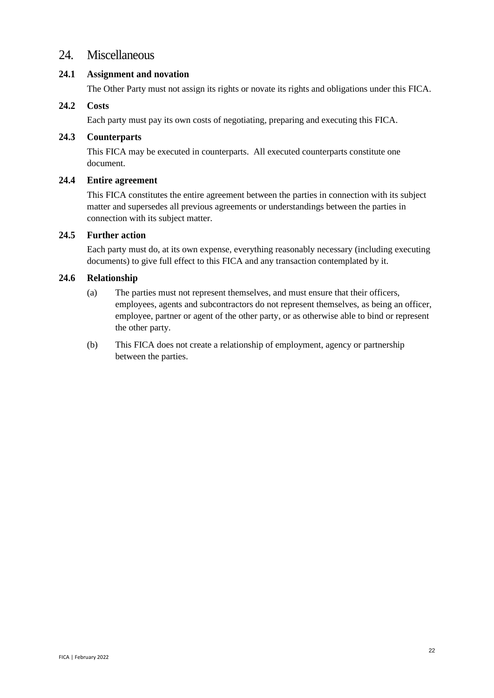## 24. Miscellaneous

#### **24.1 Assignment and novation**

The Other Party must not assign its rights or novate its rights and obligations under this FICA.

#### **24.2 Costs**

Each party must pay its own costs of negotiating, preparing and executing this FICA.

#### **24.3 Counterparts**

This FICA may be executed in counterparts. All executed counterparts constitute one document.

#### **24.4 Entire agreement**

This FICA constitutes the entire agreement between the parties in connection with its subject matter and supersedes all previous agreements or understandings between the parties in connection with its subject matter.

### **24.5 Further action**

Each party must do, at its own expense, everything reasonably necessary (including executing documents) to give full effect to this FICA and any transaction contemplated by it.

#### **24.6 Relationship**

- (a) The parties must not represent themselves, and must ensure that their officers, employees, agents and subcontractors do not represent themselves, as being an officer, employee, partner or agent of the other party, or as otherwise able to bind or represent the other party.
- (b) This FICA does not create a relationship of employment, agency or partnership between the parties.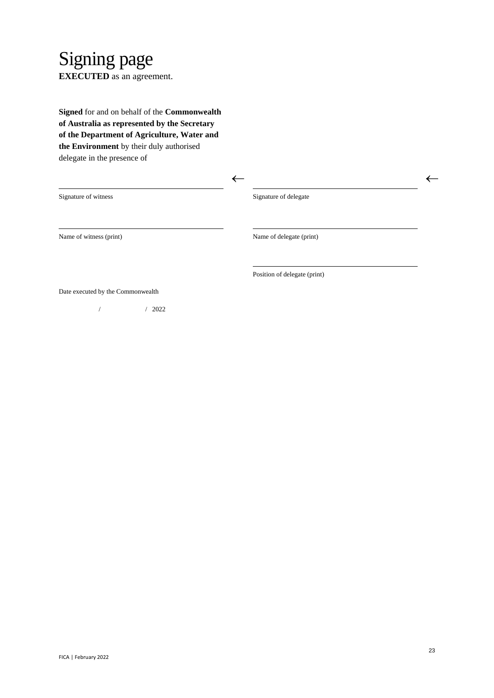## Signing page **EXECUTED** as an agreement.

**Signed** for and on behalf of the **Commonwealth of Australia as represented by the Secretary of the Department of Agriculture, Water and the Environment** by their duly authorised delegate in the presence of

| Signature of witness              | Signature of delegate        |  |
|-----------------------------------|------------------------------|--|
| Name of witness (print)           | Name of delegate (print)     |  |
|                                   | Position of delegate (print) |  |
| Date executed by the Commonwealth |                              |  |

/ / 2022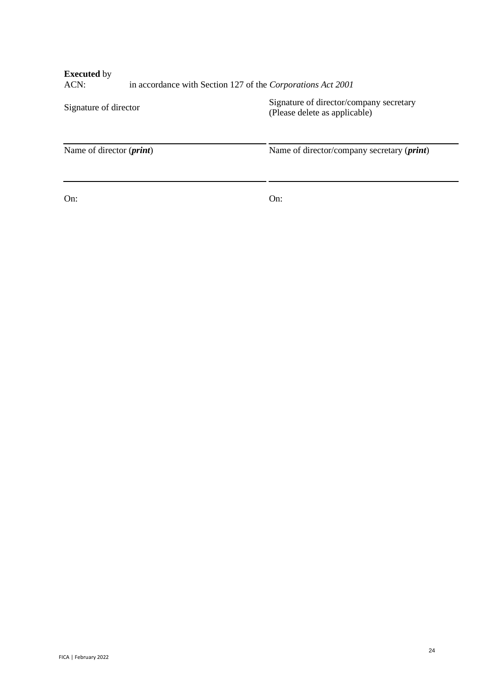| <b>Executed</b> by<br>ACN:        | in accordance with Section 127 of the Corporations Act 2001 |                                                                          |  |
|-----------------------------------|-------------------------------------------------------------|--------------------------------------------------------------------------|--|
| Signature of director             |                                                             | Signature of director/company secretary<br>(Please delete as applicable) |  |
| Name of director ( <i>print</i> ) |                                                             | Name of director/company secretary ( <i>print</i> )                      |  |
|                                   |                                                             |                                                                          |  |

On: On:

 $\mathbb{R}^2$